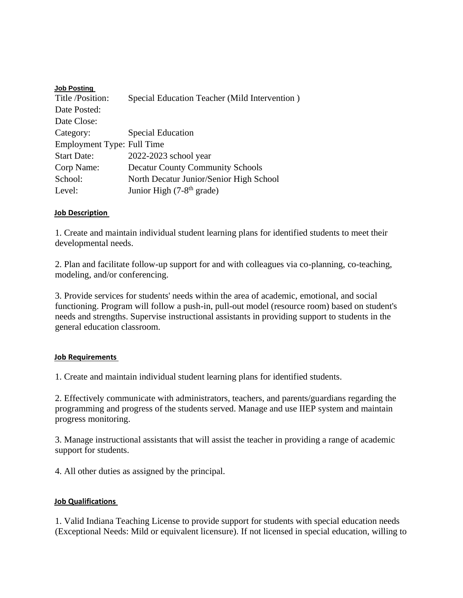| <b>Job Posting</b>         |                                               |
|----------------------------|-----------------------------------------------|
| Title/Position:            | Special Education Teacher (Mild Intervention) |
| Date Posted:               |                                               |
| Date Close:                |                                               |
| Category:                  | <b>Special Education</b>                      |
| Employment Type: Full Time |                                               |
| <b>Start Date:</b>         | 2022-2023 school year                         |
| Corp Name:                 | <b>Decatur County Community Schools</b>       |
| School:                    | North Decatur Junior/Senior High School       |
| Level:                     | Junior High (7-8 <sup>th</sup> grade)         |

## **Job Description**

1. Create and maintain individual student learning plans for identified students to meet their developmental needs.

2. Plan and facilitate follow-up support for and with colleagues via co-planning, co-teaching, modeling, and/or conferencing.

3. Provide services for students' needs within the area of academic, emotional, and social functioning. Program will follow a push-in, pull-out model (resource room) based on student's needs and strengths. Supervise instructional assistants in providing support to students in the general education classroom.

## **Job Requirements**

1. Create and maintain individual student learning plans for identified students.

2. Effectively communicate with administrators, teachers, and parents/guardians regarding the programming and progress of the students served. Manage and use IIEP system and maintain progress monitoring.

3. Manage instructional assistants that will assist the teacher in providing a range of academic support for students.

4. All other duties as assigned by the principal.

## **Job Qualifications**

1. Valid Indiana Teaching License to provide support for students with special education needs (Exceptional Needs: Mild or equivalent licensure). If not licensed in special education, willing to